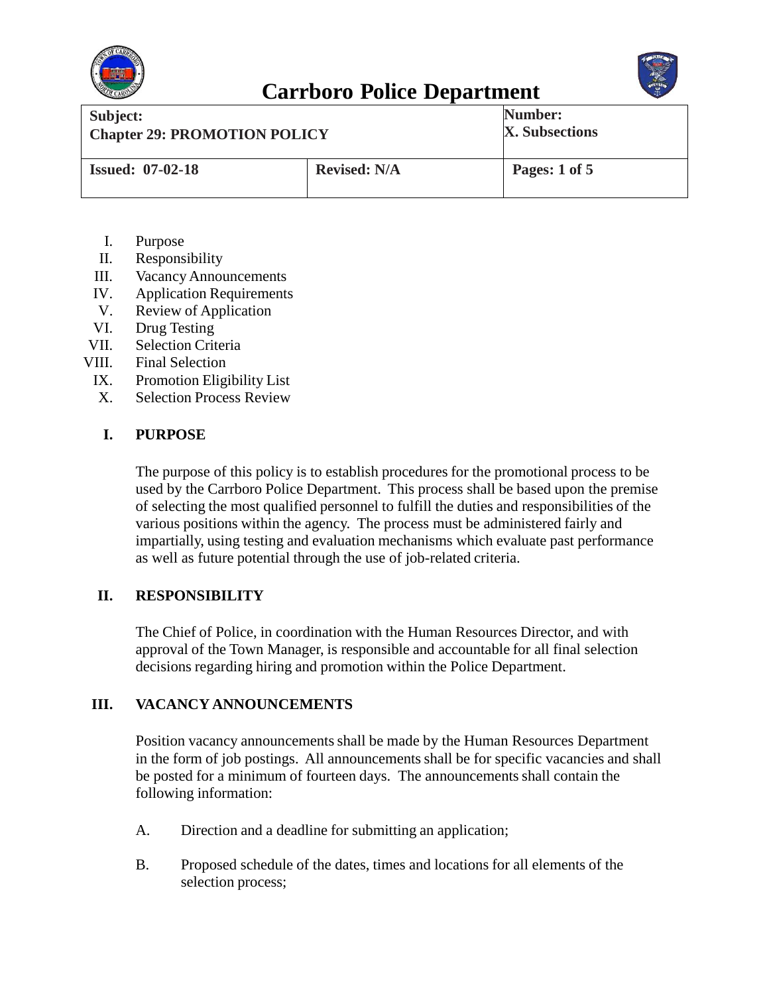



| Subject:                            |                     | Number:               |
|-------------------------------------|---------------------|-----------------------|
| <b>Chapter 29: PROMOTION POLICY</b> |                     | <b>X.</b> Subsections |
| <b>Issued: 07-02-18</b>             | <b>Revised: N/A</b> | Pages: 1 of 5         |

- I. Purpose
- II. Responsibility
- III. VacancyAnnouncements
- IV. Application Requirements
- V. Review of Application
- VI. Drug Testing
- VII. Selection Criteria
- VIII. Final Selection
	- IX. Promotion Eligibility List
	- X. Selection Process Review

### **I. PURPOSE**

The purpose of this policy is to establish procedures for the promotional process to be used by the Carrboro Police Department. This process shall be based upon the premise of selecting the most qualified personnel to fulfill the duties and responsibilities of the various positions within the agency. The process must be administered fairly and impartially, using testing and evaluation mechanisms which evaluate past performance as well as future potential through the use of job-related criteria.

#### **II. RESPONSIBILITY**

The Chief of Police, in coordination with the Human Resources Director, and with approval of the Town Manager, is responsible and accountable for all final selection decisions regarding hiring and promotion within the Police Department.

#### **III. VACANCY ANNOUNCEMENTS**

Position vacancy announcements shall be made by the Human Resources Department in the form of job postings. All announcements shall be for specific vacancies and shall be posted for a minimum of fourteen days. The announcements shall contain the following information:

- A. Direction and a deadline for submitting an application;
- B. Proposed schedule of the dates, times and locations for all elements of the selection process;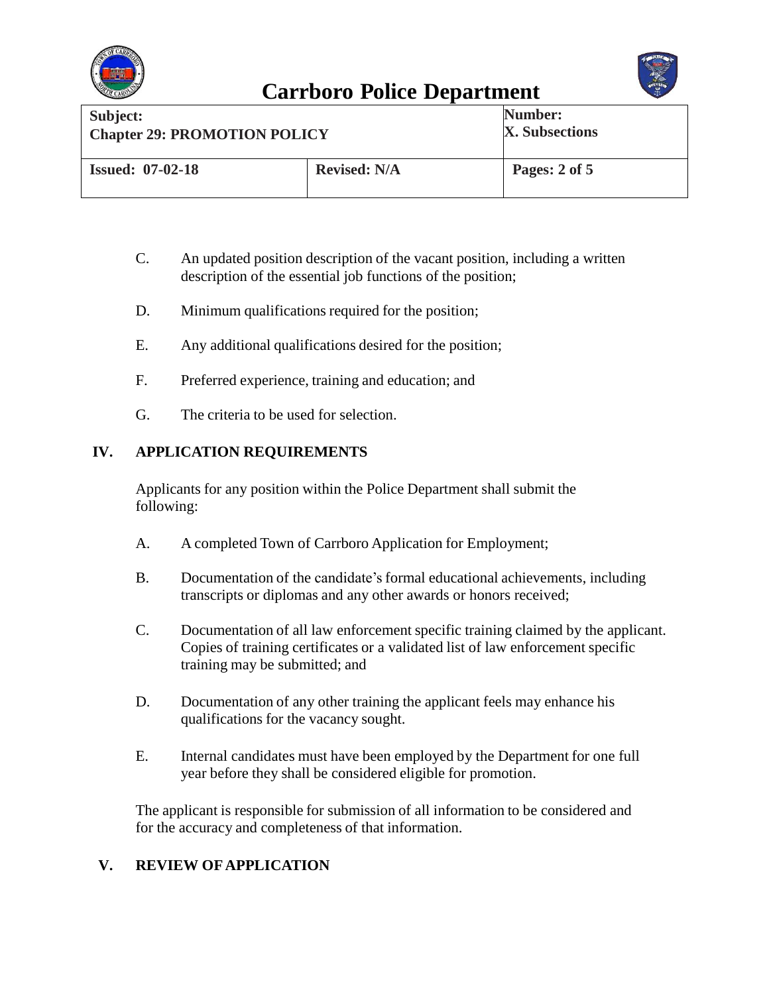



| Subject:                            |                     | Number:               |
|-------------------------------------|---------------------|-----------------------|
| <b>Chapter 29: PROMOTION POLICY</b> |                     | <b>X.</b> Subsections |
| <b>Issued: 07-02-18</b>             | <b>Revised: N/A</b> | Pages: 2 of 5         |

- C. An updated position description of the vacant position, including a written description of the essential job functions of the position;
- D. Minimum qualifications required for the position;
- E. Any additional qualifications desired for the position;
- F. Preferred experience, training and education; and
- G. The criteria to be used for selection.

## **IV. APPLICATION REQUIREMENTS**

Applicants for any position within the Police Department shall submit the following:

- A. A completed Town of Carrboro Application for Employment;
- B. Documentation of the candidate's formal educational achievements, including transcripts or diplomas and any other awards or honors received;
- C. Documentation of all law enforcement specific training claimed by the applicant. Copies of training certificates or a validated list of law enforcement specific training may be submitted; and
- D. Documentation of any other training the applicant feels may enhance his qualifications for the vacancy sought.
- E. Internal candidates must have been employed by the Department for one full year before they shall be considered eligible for promotion.

The applicant is responsible for submission of all information to be considered and for the accuracy and completeness of that information.

### **V. REVIEW OF APPLICATION**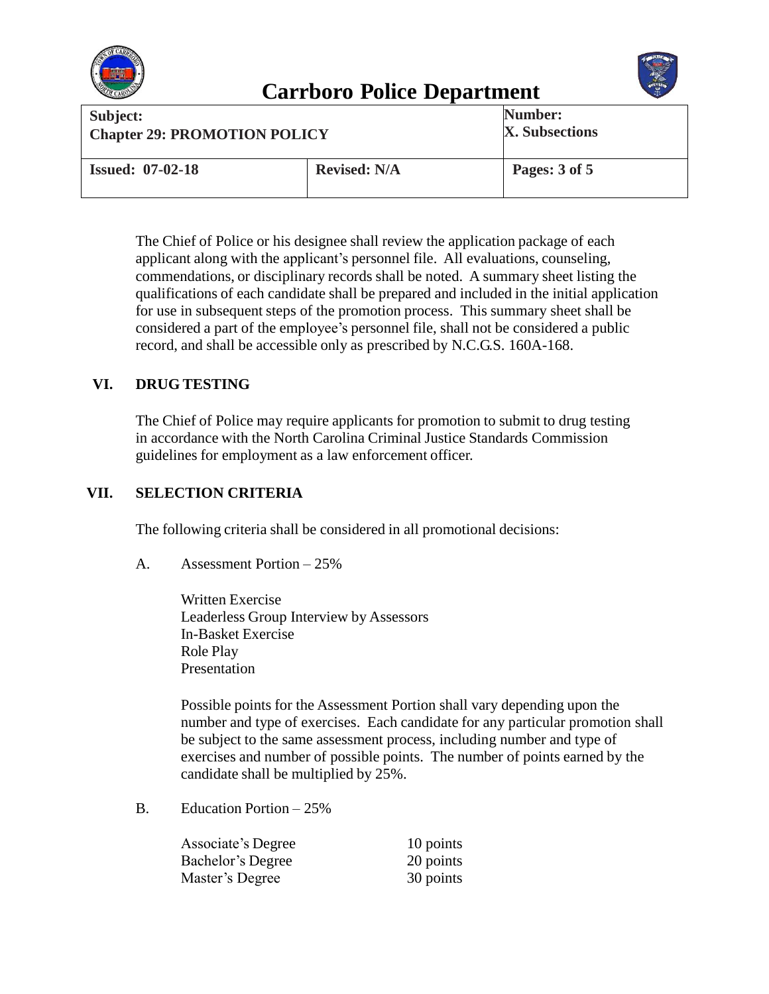



| Subject:                            |                     | Number:               |
|-------------------------------------|---------------------|-----------------------|
| <b>Chapter 29: PROMOTION POLICY</b> |                     | <b>X.</b> Subsections |
| <b>Issued: 07-02-18</b>             | <b>Revised: N/A</b> | Pages: 3 of 5         |

The Chief of Police or his designee shall review the application package of each applicant along with the applicant's personnel file. All evaluations, counseling, commendations, or disciplinary records shall be noted. A summary sheet listing the qualifications of each candidate shall be prepared and included in the initial application for use in subsequent steps of the promotion process. This summary sheet shall be considered a part of the employee's personnel file, shall not be considered a public record, and shall be accessible only as prescribed by N.C.G.S. 160A-168.

## **VI. DRUG TESTING**

The Chief of Police may require applicants for promotion to submit to drug testing in accordance with the North Carolina Criminal Justice Standards Commission guidelines for employment as a law enforcement officer.

### **VII. SELECTION CRITERIA**

The following criteria shall be considered in all promotional decisions:

A. Assessment Portion – 25%

Written Exercise Leaderless Group Interview by Assessors In-Basket Exercise Role Play Presentation

Possible points for the Assessment Portion shall vary depending upon the number and type of exercises. Each candidate for any particular promotion shall be subject to the same assessment process, including number and type of exercises and number of possible points. The number of points earned by the candidate shall be multiplied by 25%.

B. Education Portion – 25%

| <b>Associate's Degree</b> | 10 points |
|---------------------------|-----------|
| Bachelor's Degree         | 20 points |
| Master's Degree           | 30 points |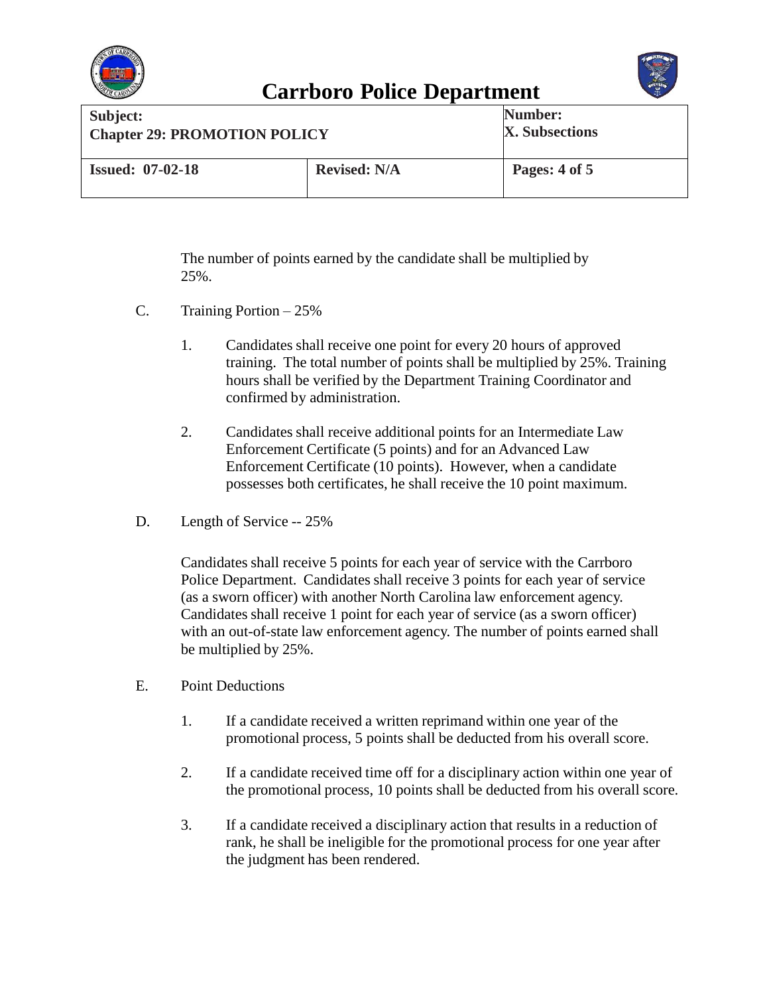



| Subject:                            |                     | Number:        |
|-------------------------------------|---------------------|----------------|
| <b>Chapter 29: PROMOTION POLICY</b> |                     | X. Subsections |
| <b>Issued: 07-02-18</b>             | <b>Revised: N/A</b> | Pages: 4 of 5  |

The number of points earned by the candidate shall be multiplied by 25%.

- C. Training Portion 25%
	- 1. Candidates shall receive one point for every 20 hours of approved training. The total number of points shall be multiplied by 25%. Training hours shall be verified by the Department Training Coordinator and confirmed by administration.
	- 2. Candidates shall receive additional points for an Intermediate Law Enforcement Certificate (5 points) and for an Advanced Law Enforcement Certificate (10 points). However, when a candidate possesses both certificates, he shall receive the 10 point maximum.
- D. Length of Service -- 25%

Candidates shall receive 5 points for each year of service with the Carrboro Police Department. Candidates shall receive 3 points for each year of service (as a sworn officer) with another North Carolina law enforcement agency. Candidates shall receive 1 point for each year of service (as a sworn officer) with an out-of-state law enforcement agency. The number of points earned shall be multiplied by 25%.

- E. Point Deductions
	- 1. If a candidate received a written reprimand within one year of the promotional process, 5 points shall be deducted from his overall score.
	- 2. If a candidate received time off for a disciplinary action within one year of the promotional process, 10 points shall be deducted from his overall score.
	- 3. If a candidate received a disciplinary action that results in a reduction of rank, he shall be ineligible for the promotional process for one year after the judgment has been rendered.